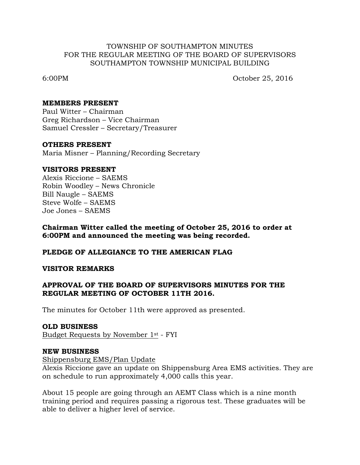### TOWNSHIP OF SOUTHAMPTON MINUTES FOR THE REGULAR MEETING OF THE BOARD OF SUPERVISORS SOUTHAMPTON TOWNSHIP MUNICIPAL BUILDING

6:00PM October 25, 2016

### **MEMBERS PRESENT**

Paul Witter – Chairman Greg Richardson – Vice Chairman Samuel Cressler – Secretary/Treasurer

#### **OTHERS PRESENT**

Maria Misner – Planning/Recording Secretary

#### **VISITORS PRESENT**

Alexis Riccione – SAEMS Robin Woodley – News Chronicle Bill Naugle – SAEMS Steve Wolfe – SAEMS Joe Jones – SAEMS

**Chairman Witter called the meeting of October 25, 2016 to order at 6:00PM and announced the meeting was being recorded.**

#### **PLEDGE OF ALLEGIANCE TO THE AMERICAN FLAG**

#### **VISITOR REMARKS**

### **APPROVAL OF THE BOARD OF SUPERVISORS MINUTES FOR THE REGULAR MEETING OF OCTOBER 11TH 2016.**

The minutes for October 11th were approved as presented.

#### **OLD BUSINESS**

Budget Requests by November 1st - FYI

#### **NEW BUSINESS**

Shippensburg EMS/Plan Update

Alexis Riccione gave an update on Shippensburg Area EMS activities. They are on schedule to run approximately 4,000 calls this year.

About 15 people are going through an AEMT Class which is a nine month training period and requires passing a rigorous test. These graduates will be able to deliver a higher level of service.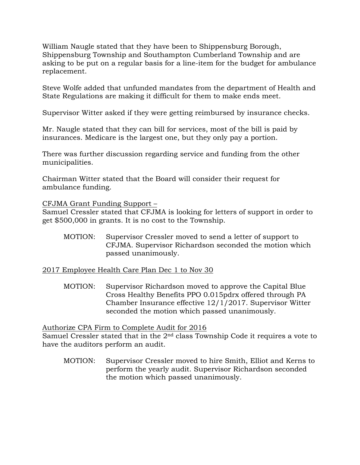William Naugle stated that they have been to Shippensburg Borough, Shippensburg Township and Southampton Cumberland Township and are asking to be put on a regular basis for a line-item for the budget for ambulance replacement.

Steve Wolfe added that unfunded mandates from the department of Health and State Regulations are making it difficult for them to make ends meet.

Supervisor Witter asked if they were getting reimbursed by insurance checks.

Mr. Naugle stated that they can bill for services, most of the bill is paid by insurances. Medicare is the largest one, but they only pay a portion.

There was further discussion regarding service and funding from the other municipalities.

Chairman Witter stated that the Board will consider their request for ambulance funding.

CFJMA Grant Funding Support –

Samuel Cressler stated that CFJMA is looking for letters of support in order to get \$500,000 in grants. It is no cost to the Township.

MOTION: Supervisor Cressler moved to send a letter of support to CFJMA. Supervisor Richardson seconded the motion which passed unanimously.

2017 Employee Health Care Plan Dec 1 to Nov 30

MOTION: Supervisor Richardson moved to approve the Capital Blue Cross Healthy Benefits PPO 0.015pdrx offered through PA Chamber Insurance effective 12/1/2017. Supervisor Witter seconded the motion which passed unanimously.

Authorize CPA Firm to Complete Audit for 2016

Samuel Cressler stated that in the 2<sup>nd</sup> class Township Code it requires a vote to have the auditors perform an audit.

MOTION: Supervisor Cressler moved to hire Smith, Elliot and Kerns to perform the yearly audit. Supervisor Richardson seconded the motion which passed unanimously.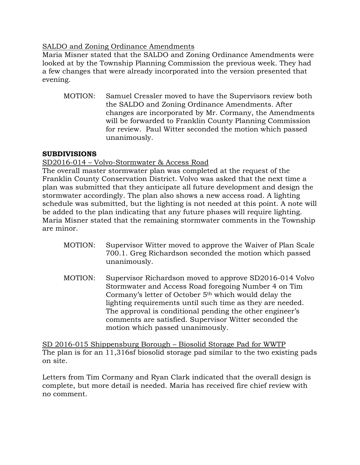# SALDO and Zoning Ordinance Amendments

Maria Misner stated that the SALDO and Zoning Ordinance Amendments were looked at by the Township Planning Commission the previous week. They had a few changes that were already incorporated into the version presented that evening.

MOTION: Samuel Cressler moved to have the Supervisors review both the SALDO and Zoning Ordinance Amendments. After changes are incorporated by Mr. Cormany, the Amendments will be forwarded to Franklin County Planning Commission for review. Paul Witter seconded the motion which passed unanimously.

# **SUBDIVISIONS**

# SD2016-014 – Volvo-Stormwater & Access Road

The overall master stormwater plan was completed at the request of the Franklin County Conservation District. Volvo was asked that the next time a plan was submitted that they anticipate all future development and design the stormwater accordingly. The plan also shows a new access road. A lighting schedule was submitted, but the lighting is not needed at this point. A note will be added to the plan indicating that any future phases will require lighting. Maria Misner stated that the remaining stormwater comments in the Township are minor.

- MOTION: Supervisor Witter moved to approve the Waiver of Plan Scale 700.1. Greg Richardson seconded the motion which passed unanimously.
- MOTION: Supervisor Richardson moved to approve SD2016-014 Volvo Stormwater and Access Road foregoing Number 4 on Tim Cormany's letter of October 5th which would delay the lighting requirements until such time as they are needed. The approval is conditional pending the other engineer's comments are satisfied. Supervisor Witter seconded the motion which passed unanimously.

SD 2016-015 Shippensburg Borough – Biosolid Storage Pad for WWTP The plan is for an 11,316sf biosolid storage pad similar to the two existing pads on site.

Letters from Tim Cormany and Ryan Clark indicated that the overall design is complete, but more detail is needed. Maria has received fire chief review with no comment.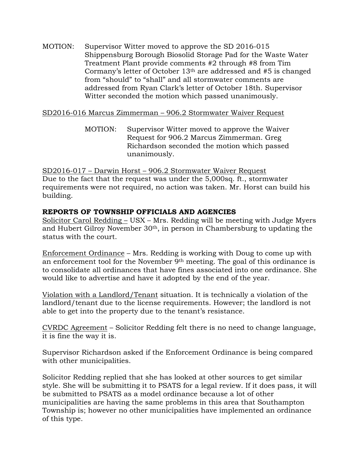MOTION: Supervisor Witter moved to approve the SD 2016-015 Shippensburg Borough Biosolid Storage Pad for the Waste Water Treatment Plant provide comments #2 through #8 from Tim Cormany's letter of October 13th are addressed and #5 is changed from "should" to "shall" and all stormwater comments are addressed from Ryan Clark's letter of October 18th. Supervisor Witter seconded the motion which passed unanimously.

# SD2016-016 Marcus Zimmerman – 906.2 Stormwater Waiver Request

MOTION: Supervisor Witter moved to approve the Waiver Request for 906.2 Marcus Zimmerman. Greg Richardson seconded the motion which passed unanimously.

SD2016-017 – Darwin Horst – 906.2 Stormwater Waiver Request Due to the fact that the request was under the 5,000sq. ft., stormwater requirements were not required, no action was taken. Mr. Horst can build his building.

# **REPORTS OF TOWNSHIP OFFICIALS AND AGENCIES**

Solicitor Carol Redding – USX – Mrs. Redding will be meeting with Judge Myers and Hubert Gilroy November 30th, in person in Chambersburg to updating the status with the court.

Enforcement Ordinance – Mrs. Redding is working with Doug to come up with an enforcement tool for the November 9th meeting. The goal of this ordinance is to consolidate all ordinances that have fines associated into one ordinance. She would like to advertise and have it adopted by the end of the year.

Violation with a Landlord/Tenant situation. It is technically a violation of the landlord/tenant due to the license requirements. However; the landlord is not able to get into the property due to the tenant's resistance.

CVRDC Agreement – Solicitor Redding felt there is no need to change language, it is fine the way it is.

Supervisor Richardson asked if the Enforcement Ordinance is being compared with other municipalities.

Solicitor Redding replied that she has looked at other sources to get similar style. She will be submitting it to PSATS for a legal review. If it does pass, it will be submitted to PSATS as a model ordinance because a lot of other municipalities are having the same problems in this area that Southampton Township is; however no other municipalities have implemented an ordinance of this type.